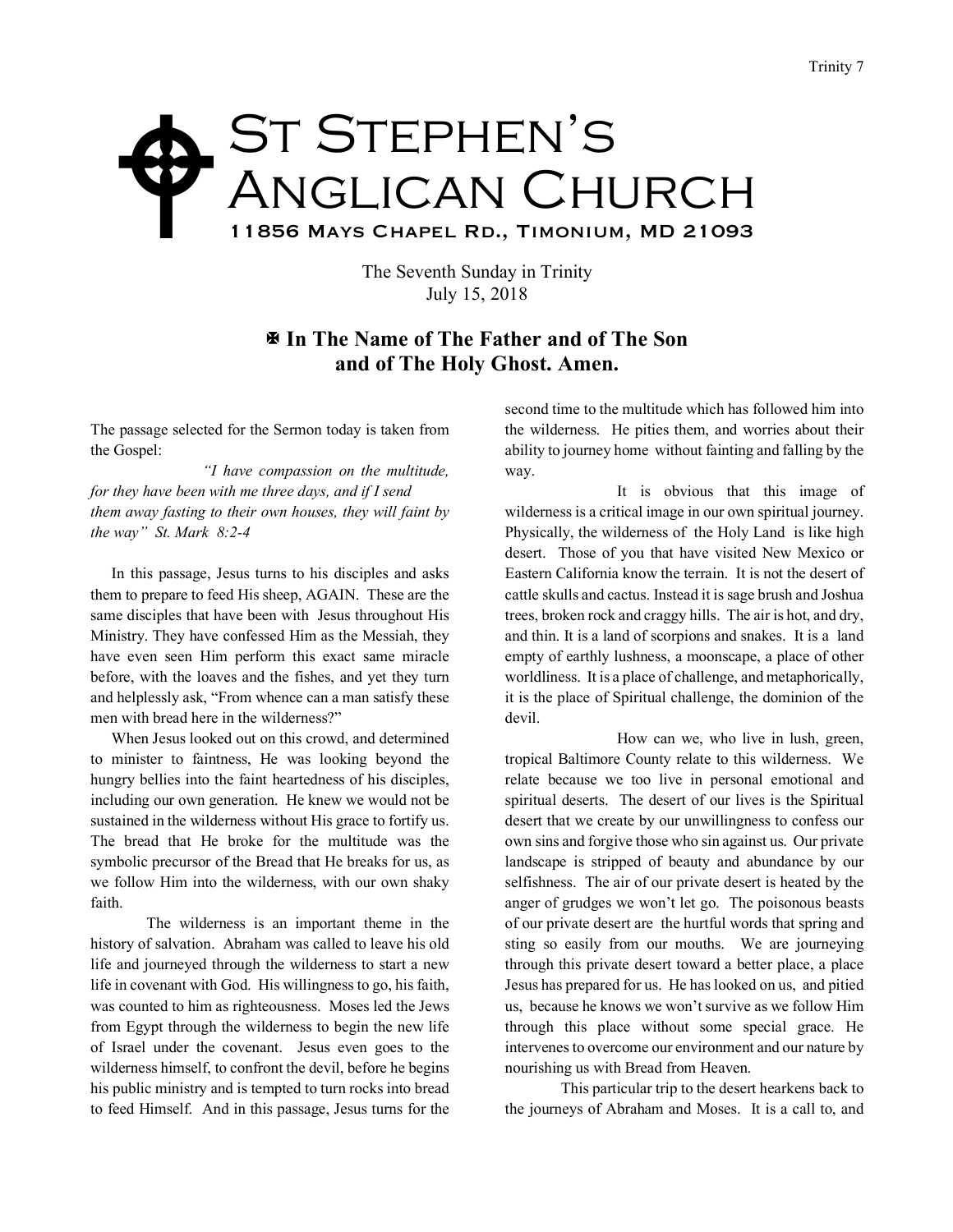## St Stephen's Anglican Church 11856 Mays Chapel Rd., Timonium, MD 21093  $\blacklozenge$

The Seventh Sunday in Trinity July 15, 2018

## X **In The Name of The Father and of The Son and of The Holy Ghost. Amen.**

The passage selected for the Sermon today is taken from the Gospel:

*"I have compassion on the multitude, for they have been with me three days, and if I send them away fasting to their own houses, they will faint by the way" St. Mark 8:2-4*

In this passage, Jesus turns to his disciples and asks them to prepare to feed His sheep, AGAIN. These are the same disciples that have been with Jesus throughout His Ministry. They have confessed Him as the Messiah, they have even seen Him perform this exact same miracle before, with the loaves and the fishes, and yet they turn and helplessly ask, "From whence can a man satisfy these men with bread here in the wilderness?"

When Jesus looked out on this crowd, and determined to minister to faintness, He was looking beyond the hungry bellies into the faint heartedness of his disciples, including our own generation. He knew we would not be sustained in the wilderness without His grace to fortify us. The bread that He broke for the multitude was the symbolic precursor of the Bread that He breaks for us, as we follow Him into the wilderness, with our own shaky faith.

The wilderness is an important theme in the history of salvation. Abraham was called to leave his old life and journeyed through the wilderness to start a new life in covenant with God. His willingness to go, his faith, was counted to him as righteousness. Moses led the Jews from Egypt through the wilderness to begin the new life of Israel under the covenant. Jesus even goes to the wilderness himself, to confront the devil, before he begins his public ministry and is tempted to turn rocks into bread to feed Himself. And in this passage, Jesus turns for the

second time to the multitude which has followed him into the wilderness. He pities them, and worries about their ability to journey home without fainting and falling by the way.

It is obvious that this image of wilderness is a critical image in our own spiritual journey. Physically, the wilderness of the Holy Land is like high desert. Those of you that have visited New Mexico or Eastern California know the terrain. It is not the desert of cattle skulls and cactus. Instead it is sage brush and Joshua trees, broken rock and craggy hills. The air is hot, and dry, and thin. It is a land of scorpions and snakes. It is a land empty of earthly lushness, a moonscape, a place of other worldliness. It is a place of challenge, and metaphorically, it is the place of Spiritual challenge, the dominion of the devil.

How can we, who live in lush, green, tropical Baltimore County relate to this wilderness. We relate because we too live in personal emotional and spiritual deserts. The desert of our lives is the Spiritual desert that we create by our unwillingness to confess our own sins and forgive those who sin against us. Our private landscape is stripped of beauty and abundance by our selfishness. The air of our private desert is heated by the anger of grudges we won't let go. The poisonous beasts of our private desert are the hurtful words that spring and sting so easily from our mouths. We are journeying through this private desert toward a better place, a place Jesus has prepared for us. He has looked on us, and pitied us, because he knows we won't survive as we follow Him through this place without some special grace. He intervenes to overcome our environment and our nature by nourishing us with Bread from Heaven.

This particular trip to the desert hearkens back to the journeys of Abraham and Moses. It is a call to, and